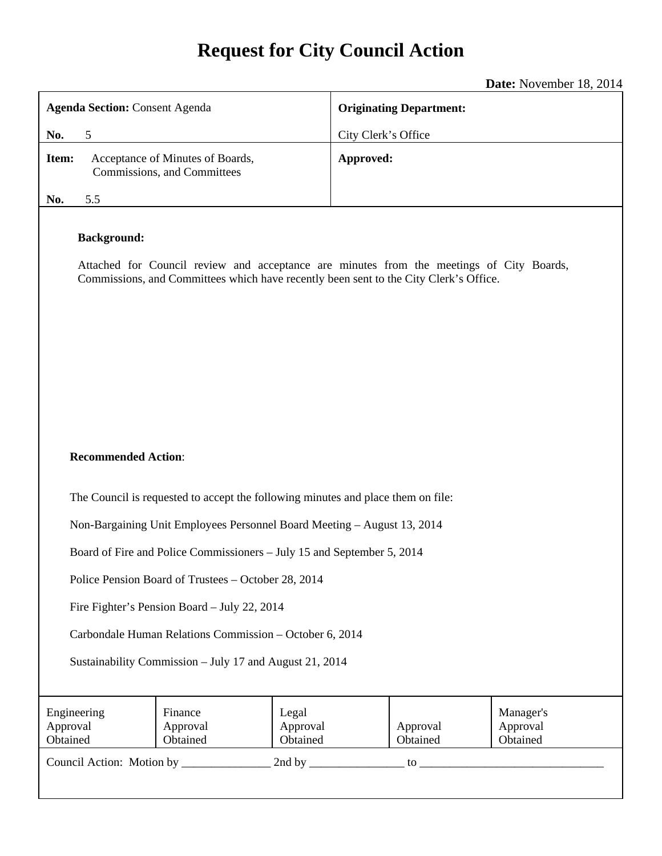# **Request for City Council Action**

**Date:** November 18, 2014

| <b>Agenda Section: Consent Agenda</b>                                                                                                                                                                   |                                                                                  |                                                                        |                               | <b>Originating Department:</b> |                      |                                   |  |
|---------------------------------------------------------------------------------------------------------------------------------------------------------------------------------------------------------|----------------------------------------------------------------------------------|------------------------------------------------------------------------|-------------------------------|--------------------------------|----------------------|-----------------------------------|--|
| No.                                                                                                                                                                                                     | 5                                                                                |                                                                        |                               | City Clerk's Office            |                      |                                   |  |
| Item:                                                                                                                                                                                                   |                                                                                  | Acceptance of Minutes of Boards,<br>Commissions, and Committees        |                               | Approved:                      |                      |                                   |  |
| No.                                                                                                                                                                                                     | 5.5                                                                              |                                                                        |                               |                                |                      |                                   |  |
| <b>Background:</b><br>Attached for Council review and acceptance are minutes from the meetings of City Boards,<br>Commissions, and Committees which have recently been sent to the City Clerk's Office. |                                                                                  |                                                                        |                               |                                |                      |                                   |  |
| <b>Recommended Action:</b>                                                                                                                                                                              |                                                                                  |                                                                        |                               |                                |                      |                                   |  |
|                                                                                                                                                                                                         | The Council is requested to accept the following minutes and place them on file: |                                                                        |                               |                                |                      |                                   |  |
|                                                                                                                                                                                                         | Non-Bargaining Unit Employees Personnel Board Meeting - August 13, 2014          |                                                                        |                               |                                |                      |                                   |  |
|                                                                                                                                                                                                         |                                                                                  | Board of Fire and Police Commissioners – July 15 and September 5, 2014 |                               |                                |                      |                                   |  |
| Police Pension Board of Trustees - October 28, 2014                                                                                                                                                     |                                                                                  |                                                                        |                               |                                |                      |                                   |  |
| Fire Fighter's Pension Board - July 22, 2014                                                                                                                                                            |                                                                                  |                                                                        |                               |                                |                      |                                   |  |
| Carbondale Human Relations Commission - October 6, 2014                                                                                                                                                 |                                                                                  |                                                                        |                               |                                |                      |                                   |  |
| Sustainability Commission - July 17 and August 21, 2014                                                                                                                                                 |                                                                                  |                                                                        |                               |                                |                      |                                   |  |
| Engineering<br>Approval<br>Obtained                                                                                                                                                                     |                                                                                  | Finance<br>Approval<br>Obtained                                        | Legal<br>Approval<br>Obtained |                                | Approval<br>Obtained | Manager's<br>Approval<br>Obtained |  |
| 2nd by $\frac{ }{ }$<br>Council Action: Motion by _______<br>$\overline{a}$                                                                                                                             |                                                                                  |                                                                        |                               |                                |                      |                                   |  |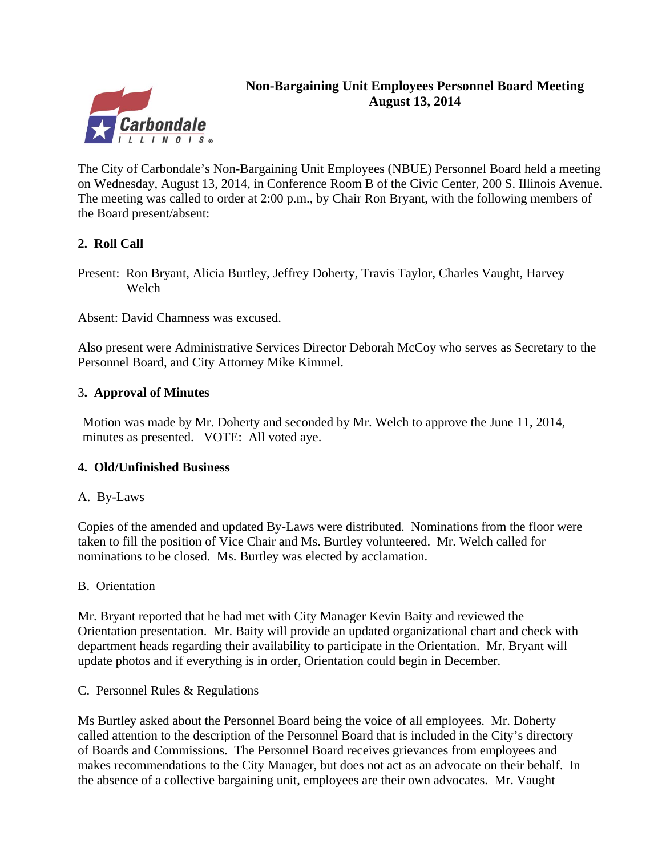

# **Non-Bargaining Unit Employees Personnel Board Meeting August 13, 2014**

The City of Carbondale's Non-Bargaining Unit Employees (NBUE) Personnel Board held a meeting on Wednesday, August 13, 2014, in Conference Room B of the Civic Center, 200 S. Illinois Avenue. The meeting was called to order at 2:00 p.m., by Chair Ron Bryant, with the following members of the Board present/absent:

# **2. Roll Call**

Present: Ron Bryant, Alicia Burtley, Jeffrey Doherty, Travis Taylor, Charles Vaught, Harvey Welch

Absent: David Chamness was excused.

Also present were Administrative Services Director Deborah McCoy who serves as Secretary to the Personnel Board, and City Attorney Mike Kimmel.

# 3**. Approval of Minutes**

Motion was made by Mr. Doherty and seconded by Mr. Welch to approve the June 11, 2014, minutes as presented. VOTE: All voted aye.

#### **4. Old/Unfinished Business**

#### A. By-Laws

Copies of the amended and updated By-Laws were distributed. Nominations from the floor were taken to fill the position of Vice Chair and Ms. Burtley volunteered. Mr. Welch called for nominations to be closed. Ms. Burtley was elected by acclamation.

#### B. Orientation

Mr. Bryant reported that he had met with City Manager Kevin Baity and reviewed the Orientation presentation. Mr. Baity will provide an updated organizational chart and check with department heads regarding their availability to participate in the Orientation. Mr. Bryant will update photos and if everything is in order, Orientation could begin in December.

#### C. Personnel Rules & Regulations

Ms Burtley asked about the Personnel Board being the voice of all employees. Mr. Doherty called attention to the description of the Personnel Board that is included in the City's directory of Boards and Commissions. The Personnel Board receives grievances from employees and makes recommendations to the City Manager, but does not act as an advocate on their behalf. In the absence of a collective bargaining unit, employees are their own advocates. Mr. Vaught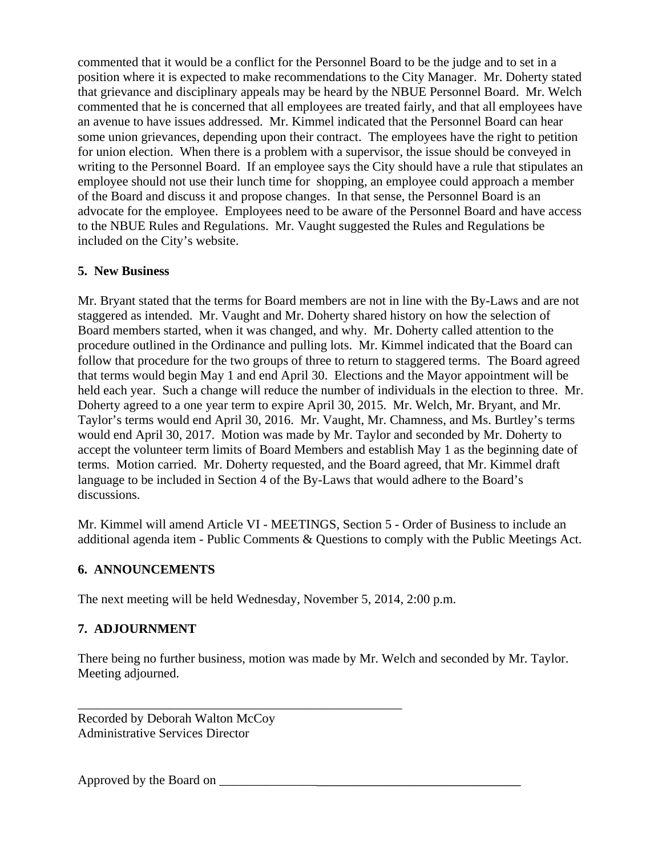commented that it would be a conflict for the Personnel Board to be the judge and to set in a position where it is expected to make recommendations to the City Manager. Mr. Doherty stated that grievance and disciplinary appeals may be heard by the NBUE Personnel Board. Mr. Welch commented that he is concerned that all employees are treated fairly, and that all employees have an avenue to have issues addressed. Mr. Kimmel indicated that the Personnel Board can hear some union grievances, depending upon their contract. The employees have the right to petition for union election. When there is a problem with a supervisor, the issue should be conveyed in writing to the Personnel Board. If an employee says the City should have a rule that stipulates an employee should not use their lunch time for shopping, an employee could approach a member of the Board and discuss it and propose changes. In that sense, the Personnel Board is an advocate for the employee. Employees need to be aware of the Personnel Board and have access to the NBUE Rules and Regulations. Mr. Vaught suggested the Rules and Regulations be included on the City's website.

# **5. New Business**

Mr. Bryant stated that the terms for Board members are not in line with the By-Laws and are not staggered as intended. Mr. Vaught and Mr. Doherty shared history on how the selection of Board members started, when it was changed, and why. Mr. Doherty called attention to the procedure outlined in the Ordinance and pulling lots. Mr. Kimmel indicated that the Board can follow that procedure for the two groups of three to return to staggered terms. The Board agreed that terms would begin May 1 and end April 30. Elections and the Mayor appointment will be held each year. Such a change will reduce the number of individuals in the election to three. Mr. Doherty agreed to a one year term to expire April 30, 2015. Mr. Welch, Mr. Bryant, and Mr. Taylor's terms would end April 30, 2016. Mr. Vaught, Mr. Chamness, and Ms. Burtley's terms would end April 30, 2017. Motion was made by Mr. Taylor and seconded by Mr. Doherty to accept the volunteer term limits of Board Members and establish May 1 as the beginning date of terms. Motion carried. Mr. Doherty requested, and the Board agreed, that Mr. Kimmel draft language to be included in Section 4 of the By-Laws that would adhere to the Board's discussions.

Mr. Kimmel will amend Article VI - MEETINGS, Section 5 - Order of Business to include an additional agenda item - Public Comments & Questions to comply with the Public Meetings Act.

# **6. ANNOUNCEMENTS**

The next meeting will be held Wednesday, November 5, 2014, 2:00 p.m.

\_\_\_\_\_\_\_\_\_\_\_\_\_\_\_\_\_\_\_\_\_\_\_\_\_\_\_\_\_\_\_\_\_\_\_\_\_\_\_\_\_\_\_\_\_\_\_\_\_\_

# **7. ADJOURNMENT**

There being no further business, motion was made by Mr. Welch and seconded by Mr. Taylor. Meeting adjourned.

Recorded by Deborah Walton McCoy Administrative Services Director

Approved by the Board on \_\_\_\_\_\_\_\_\_\_\_\_\_\_\_\_\_\_\_\_\_\_\_\_\_\_\_\_\_\_\_\_\_\_\_\_\_\_\_\_\_\_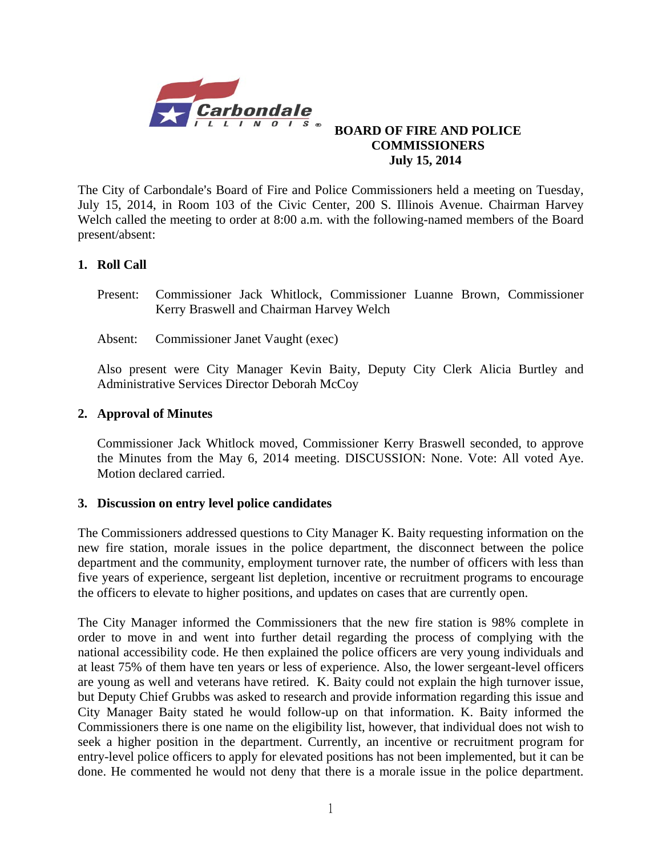

# **BOARD OF FIRE AND POLICE COMMISSIONERS July 15, 2014**

The City of Carbondale's Board of Fire and Police Commissioners held a meeting on Tuesday, July 15, 2014, in Room 103 of the Civic Center, 200 S. Illinois Avenue. Chairman Harvey Welch called the meeting to order at 8:00 a.m. with the following-named members of the Board present/absent:

# **1. Roll Call**

- Present: Commissioner Jack Whitlock, Commissioner Luanne Brown, Commissioner Kerry Braswell and Chairman Harvey Welch
- Absent: Commissioner Janet Vaught (exec)

Also present were City Manager Kevin Baity, Deputy City Clerk Alicia Burtley and Administrative Services Director Deborah McCoy

#### **2. Approval of Minutes**

Commissioner Jack Whitlock moved, Commissioner Kerry Braswell seconded, to approve the Minutes from the May 6, 2014 meeting. DISCUSSION: None. Vote: All voted Aye. Motion declared carried.

#### **3. Discussion on entry level police candidates**

The Commissioners addressed questions to City Manager K. Baity requesting information on the new fire station, morale issues in the police department, the disconnect between the police department and the community, employment turnover rate, the number of officers with less than five years of experience, sergeant list depletion, incentive or recruitment programs to encourage the officers to elevate to higher positions, and updates on cases that are currently open.

The City Manager informed the Commissioners that the new fire station is 98% complete in order to move in and went into further detail regarding the process of complying with the national accessibility code. He then explained the police officers are very young individuals and at least 75% of them have ten years or less of experience. Also, the lower sergeant-level officers are young as well and veterans have retired. K. Baity could not explain the high turnover issue, but Deputy Chief Grubbs was asked to research and provide information regarding this issue and City Manager Baity stated he would follow-up on that information. K. Baity informed the Commissioners there is one name on the eligibility list, however, that individual does not wish to seek a higher position in the department. Currently, an incentive or recruitment program for entry-level police officers to apply for elevated positions has not been implemented, but it can be done. He commented he would not deny that there is a morale issue in the police department.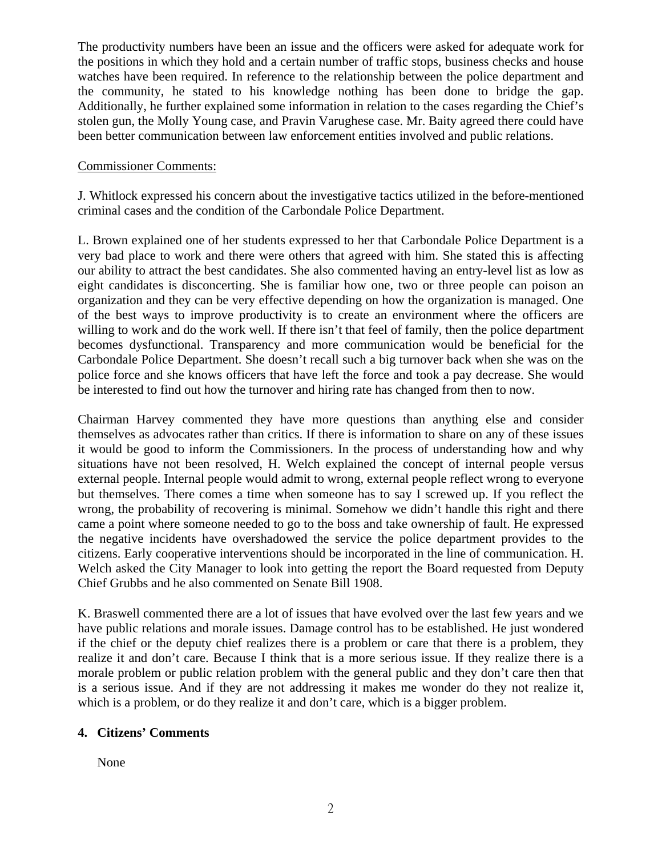The productivity numbers have been an issue and the officers were asked for adequate work for the positions in which they hold and a certain number of traffic stops, business checks and house watches have been required. In reference to the relationship between the police department and the community, he stated to his knowledge nothing has been done to bridge the gap. Additionally, he further explained some information in relation to the cases regarding the Chief's stolen gun, the Molly Young case, and Pravin Varughese case. Mr. Baity agreed there could have been better communication between law enforcement entities involved and public relations.

#### Commissioner Comments:

J. Whitlock expressed his concern about the investigative tactics utilized in the before-mentioned criminal cases and the condition of the Carbondale Police Department.

L. Brown explained one of her students expressed to her that Carbondale Police Department is a very bad place to work and there were others that agreed with him. She stated this is affecting our ability to attract the best candidates. She also commented having an entry-level list as low as eight candidates is disconcerting. She is familiar how one, two or three people can poison an organization and they can be very effective depending on how the organization is managed. One of the best ways to improve productivity is to create an environment where the officers are willing to work and do the work well. If there isn't that feel of family, then the police department becomes dysfunctional. Transparency and more communication would be beneficial for the Carbondale Police Department. She doesn't recall such a big turnover back when she was on the police force and she knows officers that have left the force and took a pay decrease. She would be interested to find out how the turnover and hiring rate has changed from then to now.

Chairman Harvey commented they have more questions than anything else and consider themselves as advocates rather than critics. If there is information to share on any of these issues it would be good to inform the Commissioners. In the process of understanding how and why situations have not been resolved, H. Welch explained the concept of internal people versus external people. Internal people would admit to wrong, external people reflect wrong to everyone but themselves. There comes a time when someone has to say I screwed up. If you reflect the wrong, the probability of recovering is minimal. Somehow we didn't handle this right and there came a point where someone needed to go to the boss and take ownership of fault. He expressed the negative incidents have overshadowed the service the police department provides to the citizens. Early cooperative interventions should be incorporated in the line of communication. H. Welch asked the City Manager to look into getting the report the Board requested from Deputy Chief Grubbs and he also commented on Senate Bill 1908.

K. Braswell commented there are a lot of issues that have evolved over the last few years and we have public relations and morale issues. Damage control has to be established. He just wondered if the chief or the deputy chief realizes there is a problem or care that there is a problem, they realize it and don't care. Because I think that is a more serious issue. If they realize there is a morale problem or public relation problem with the general public and they don't care then that is a serious issue. And if they are not addressing it makes me wonder do they not realize it, which is a problem, or do they realize it and don't care, which is a bigger problem.

#### **4. Citizens' Comments**

None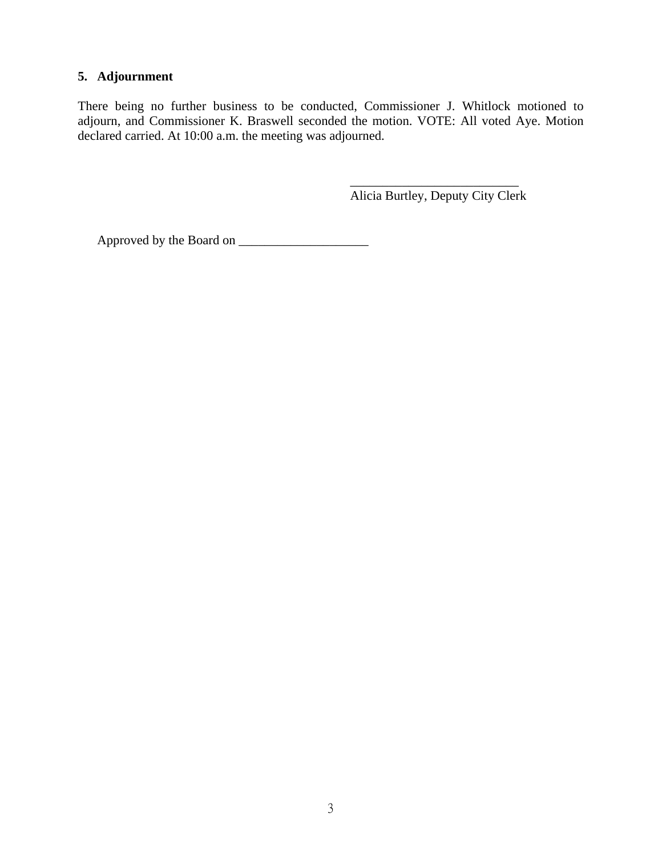# **5. Adjournment**

There being no further business to be conducted, Commissioner J. Whitlock motioned to adjourn, and Commissioner K. Braswell seconded the motion. VOTE: All voted Aye. Motion declared carried. At 10:00 a.m. the meeting was adjourned.

 $\mathcal{L}_\text{max}$  , and the contract of the contract of the contract of the contract of the contract of the contract of the contract of the contract of the contract of the contract of the contract of the contract of the contr Alicia Burtley, Deputy City Clerk

Approved by the Board on \_\_\_\_\_\_\_\_\_\_\_\_\_\_\_\_\_\_\_\_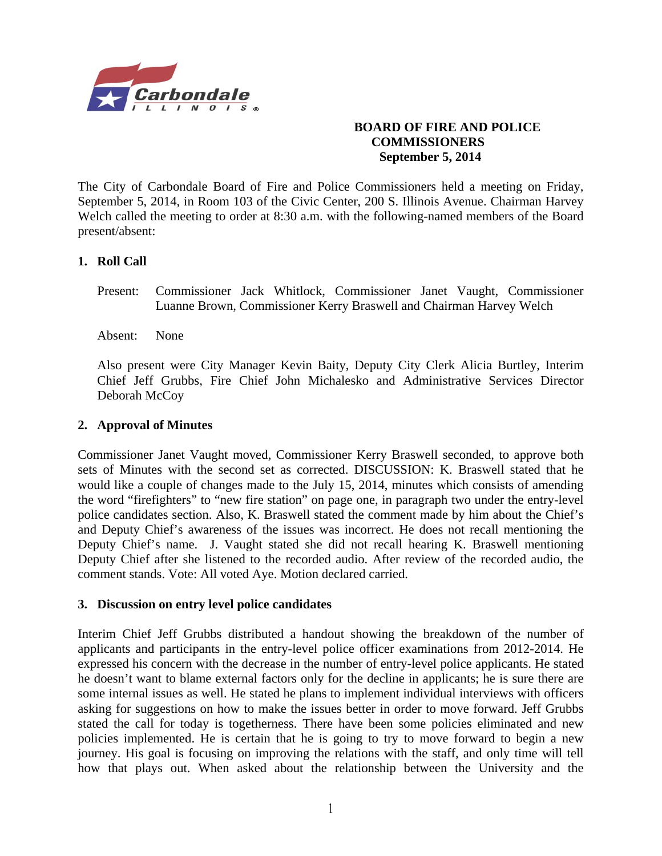

#### **BOARD OF FIRE AND POLICE COMMISSIONERS September 5, 2014**

The City of Carbondale Board of Fire and Police Commissioners held a meeting on Friday, September 5, 2014, in Room 103 of the Civic Center, 200 S. Illinois Avenue. Chairman Harvey Welch called the meeting to order at 8:30 a.m. with the following-named members of the Board present/absent:

#### **1. Roll Call**

- Present: Commissioner Jack Whitlock, Commissioner Janet Vaught, Commissioner Luanne Brown, Commissioner Kerry Braswell and Chairman Harvey Welch
- Absent: None

Also present were City Manager Kevin Baity, Deputy City Clerk Alicia Burtley, Interim Chief Jeff Grubbs, Fire Chief John Michalesko and Administrative Services Director Deborah McCoy

#### **2. Approval of Minutes**

Commissioner Janet Vaught moved, Commissioner Kerry Braswell seconded, to approve both sets of Minutes with the second set as corrected. DISCUSSION: K. Braswell stated that he would like a couple of changes made to the July 15, 2014, minutes which consists of amending the word "firefighters" to "new fire station" on page one, in paragraph two under the entry-level police candidates section. Also, K. Braswell stated the comment made by him about the Chief's and Deputy Chief's awareness of the issues was incorrect. He does not recall mentioning the Deputy Chief's name. J. Vaught stated she did not recall hearing K. Braswell mentioning Deputy Chief after she listened to the recorded audio. After review of the recorded audio, the comment stands. Vote: All voted Aye. Motion declared carried.

#### **3. Discussion on entry level police candidates**

Interim Chief Jeff Grubbs distributed a handout showing the breakdown of the number of applicants and participants in the entry-level police officer examinations from 2012-2014. He expressed his concern with the decrease in the number of entry-level police applicants. He stated he doesn't want to blame external factors only for the decline in applicants; he is sure there are some internal issues as well. He stated he plans to implement individual interviews with officers asking for suggestions on how to make the issues better in order to move forward. Jeff Grubbs stated the call for today is togetherness. There have been some policies eliminated and new policies implemented. He is certain that he is going to try to move forward to begin a new journey. His goal is focusing on improving the relations with the staff, and only time will tell how that plays out. When asked about the relationship between the University and the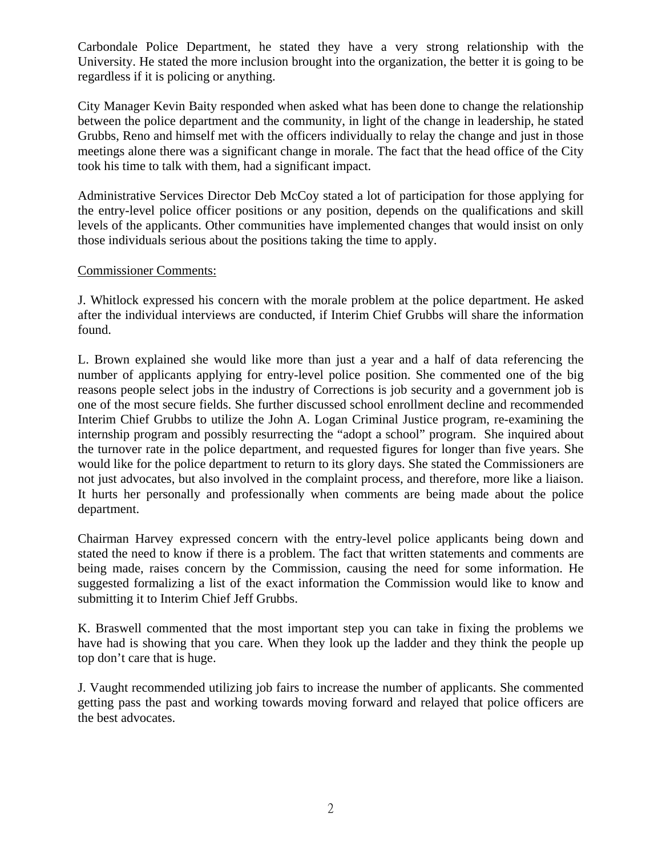Carbondale Police Department, he stated they have a very strong relationship with the University. He stated the more inclusion brought into the organization, the better it is going to be regardless if it is policing or anything.

City Manager Kevin Baity responded when asked what has been done to change the relationship between the police department and the community, in light of the change in leadership, he stated Grubbs, Reno and himself met with the officers individually to relay the change and just in those meetings alone there was a significant change in morale. The fact that the head office of the City took his time to talk with them, had a significant impact.

Administrative Services Director Deb McCoy stated a lot of participation for those applying for the entry-level police officer positions or any position, depends on the qualifications and skill levels of the applicants. Other communities have implemented changes that would insist on only those individuals serious about the positions taking the time to apply.

#### Commissioner Comments:

J. Whitlock expressed his concern with the morale problem at the police department. He asked after the individual interviews are conducted, if Interim Chief Grubbs will share the information found.

L. Brown explained she would like more than just a year and a half of data referencing the number of applicants applying for entry-level police position. She commented one of the big reasons people select jobs in the industry of Corrections is job security and a government job is one of the most secure fields. She further discussed school enrollment decline and recommended Interim Chief Grubbs to utilize the John A. Logan Criminal Justice program, re-examining the internship program and possibly resurrecting the "adopt a school" program. She inquired about the turnover rate in the police department, and requested figures for longer than five years. She would like for the police department to return to its glory days. She stated the Commissioners are not just advocates, but also involved in the complaint process, and therefore, more like a liaison. It hurts her personally and professionally when comments are being made about the police department.

Chairman Harvey expressed concern with the entry-level police applicants being down and stated the need to know if there is a problem. The fact that written statements and comments are being made, raises concern by the Commission, causing the need for some information. He suggested formalizing a list of the exact information the Commission would like to know and submitting it to Interim Chief Jeff Grubbs.

K. Braswell commented that the most important step you can take in fixing the problems we have had is showing that you care. When they look up the ladder and they think the people up top don't care that is huge.

J. Vaught recommended utilizing job fairs to increase the number of applicants. She commented getting pass the past and working towards moving forward and relayed that police officers are the best advocates.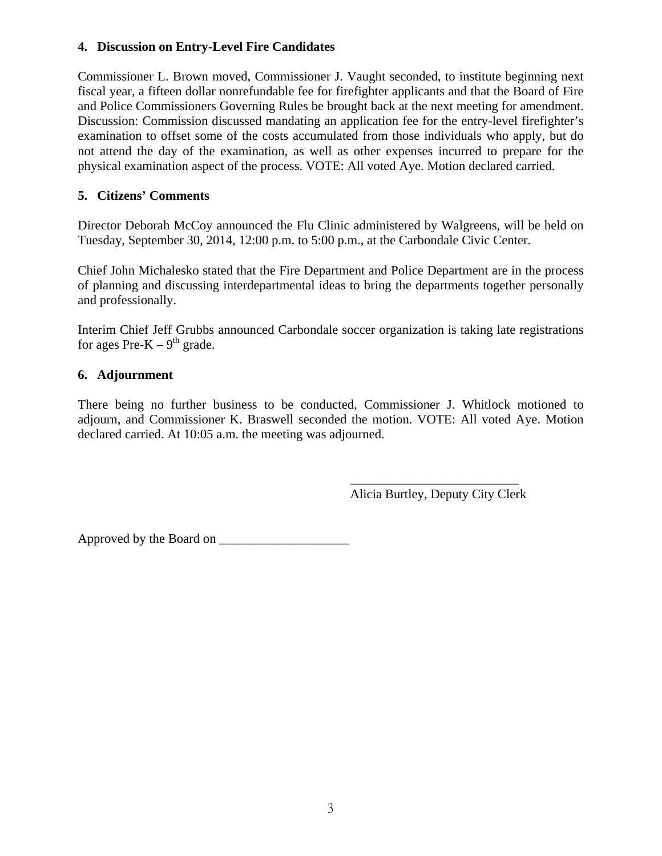# **4. Discussion on Entry-Level Fire Candidates**

Commissioner L. Brown moved, Commissioner J. Vaught seconded, to institute beginning next fiscal year, a fifteen dollar nonrefundable fee for firefighter applicants and that the Board of Fire and Police Commissioners Governing Rules be brought back at the next meeting for amendment. Discussion: Commission discussed mandating an application fee for the entry-level firefighter's examination to offset some of the costs accumulated from those individuals who apply, but do not attend the day of the examination, as well as other expenses incurred to prepare for the physical examination aspect of the process. VOTE: All voted Aye. Motion declared carried.

#### **5. Citizens' Comments**

Director Deborah McCoy announced the Flu Clinic administered by Walgreens, will be held on Tuesday, September 30, 2014, 12:00 p.m. to 5:00 p.m., at the Carbondale Civic Center.

Chief John Michalesko stated that the Fire Department and Police Department are in the process of planning and discussing interdepartmental ideas to bring the departments together personally and professionally.

Interim Chief Jeff Grubbs announced Carbondale soccer organization is taking late registrations for ages Pre-K –  $9<sup>th</sup>$  grade.

#### **6. Adjournment**

There being no further business to be conducted, Commissioner J. Whitlock motioned to adjourn, and Commissioner K. Braswell seconded the motion. VOTE: All voted Aye. Motion declared carried. At 10:05 a.m. the meeting was adjourned.

 $\overline{\phantom{a}}$  , which is a set of the contract of the contract of the contract of the contract of the contract of the contract of the contract of the contract of the contract of the contract of the contract of the contract

Alicia Burtley, Deputy City Clerk

Approved by the Board on \_\_\_\_\_\_\_\_\_\_\_\_\_\_\_\_\_\_\_\_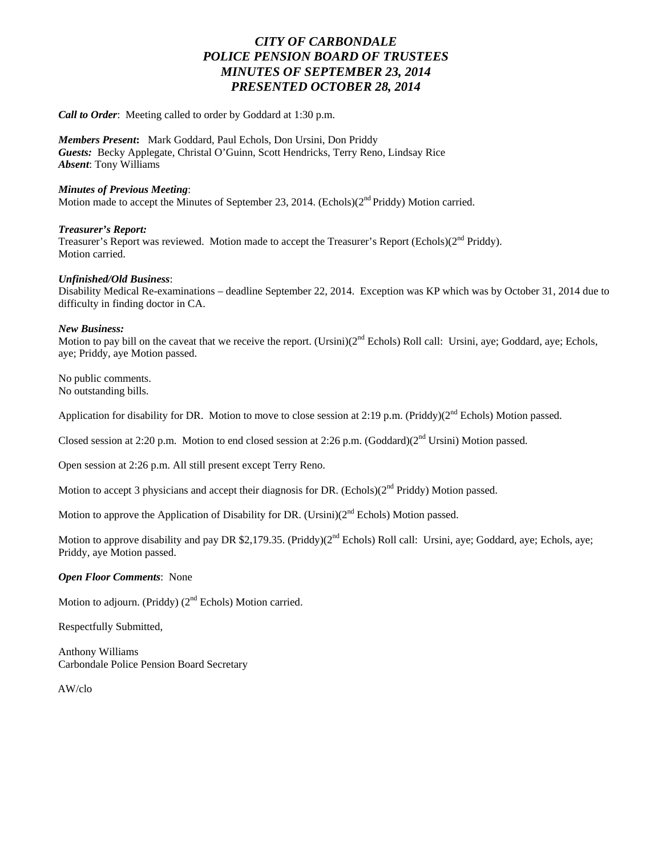#### *CITY OF CARBONDALE POLICE PENSION BOARD OF TRUSTEES MINUTES OF SEPTEMBER 23, 2014 PRESENTED OCTOBER 28, 2014*

*Call to Order*: Meeting called to order by Goddard at 1:30 p.m.

*Members Present***:** Mark Goddard, Paul Echols, Don Ursini, Don Priddy *Guests:* Becky Applegate, Christal O'Guinn, Scott Hendricks, Terry Reno, Lindsay Rice *Absent*: Tony Williams

#### *Minutes of Previous Meeting*:

Motion made to accept the Minutes of September 23, 2014. (Echols) $(2<sup>nd</sup> Priddy)$  Motion carried.

*Treasurer's Report:*  Treasurer's Report was reviewed. Motion made to accept the Treasurer's Report (Echols)(2<sup>nd</sup> Priddy). Motion carried.

#### *Unfinished/Old Business*:

Disability Medical Re-examinations – deadline September 22, 2014. Exception was KP which was by October 31, 2014 due to difficulty in finding doctor in CA.

#### *New Business:*

Motion to pay bill on the caveat that we receive the report. (Ursini)( $2<sup>nd</sup>$  Echols) Roll call: Ursini, aye; Goddard, aye; Echols, aye; Priddy, aye Motion passed.

No public comments. No outstanding bills.

Application for disability for DR. Motion to move to close session at 2:19 p.m. (Priddy)( $2^{nd}$  Echols) Motion passed.

Closed session at 2:20 p.m. Motion to end closed session at 2:26 p.m. (Goddard)(2<sup>nd</sup> Ursini) Motion passed.

Open session at 2:26 p.m. All still present except Terry Reno.

Motion to accept 3 physicians and accept their diagnosis for DR. (Echols) $(2<sup>nd</sup> Priddy)$  Motion passed.

Motion to approve the Application of Disability for DR. (Ursini) $(2<sup>nd</sup>$  Echols) Motion passed.

Motion to approve disability and pay DR \$2,179.35. (Priddy)(2<sup>nd</sup> Echols) Roll call: Ursini, aye; Goddard, aye; Echols, aye; Priddy, aye Motion passed.

#### *Open Floor Comments*: None

Motion to adjourn. (Priddy)  $(2<sup>nd</sup> Echols)$  Motion carried.

Respectfully Submitted,

Anthony Williams Carbondale Police Pension Board Secretary

AW/clo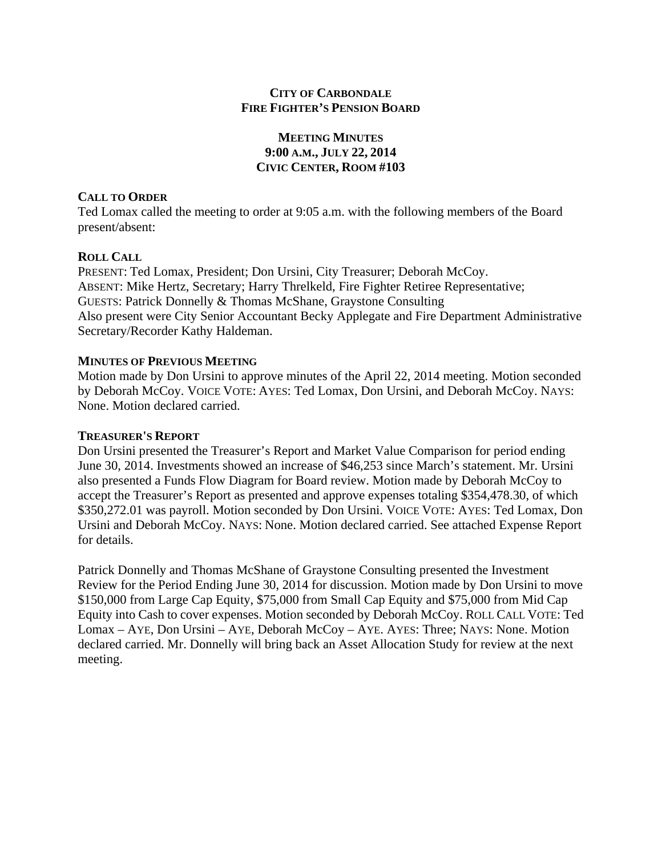#### **CITY OF CARBONDALE FIRE FIGHTER'S PENSION BOARD**

#### **MEETING MINUTES 9:00 A.M., JULY 22, 2014 CIVIC CENTER, ROOM #103**

#### **CALL TO ORDER**

Ted Lomax called the meeting to order at 9:05 a.m. with the following members of the Board present/absent:

#### **ROLL CALL**

PRESENT: Ted Lomax, President; Don Ursini, City Treasurer; Deborah McCoy. ABSENT: Mike Hertz, Secretary; Harry Threlkeld, Fire Fighter Retiree Representative; GUESTS: Patrick Donnelly & Thomas McShane, Graystone Consulting Also present were City Senior Accountant Becky Applegate and Fire Department Administrative Secretary/Recorder Kathy Haldeman.

#### **MINUTES OF PREVIOUS MEETING**

Motion made by Don Ursini to approve minutes of the April 22, 2014 meeting. Motion seconded by Deborah McCoy. VOICE VOTE: AYES: Ted Lomax, Don Ursini, and Deborah McCoy. NAYS: None. Motion declared carried.

#### **TREASURER'S REPORT**

Don Ursini presented the Treasurer's Report and Market Value Comparison for period ending June 30, 2014. Investments showed an increase of \$46,253 since March's statement. Mr. Ursini also presented a Funds Flow Diagram for Board review. Motion made by Deborah McCoy to accept the Treasurer's Report as presented and approve expenses totaling \$354,478.30, of which \$350,272.01 was payroll. Motion seconded by Don Ursini. VOICE VOTE: AYES: Ted Lomax, Don Ursini and Deborah McCoy. NAYS: None. Motion declared carried. See attached Expense Report for details.

Patrick Donnelly and Thomas McShane of Graystone Consulting presented the Investment Review for the Period Ending June 30, 2014 for discussion. Motion made by Don Ursini to move \$150,000 from Large Cap Equity, \$75,000 from Small Cap Equity and \$75,000 from Mid Cap Equity into Cash to cover expenses. Motion seconded by Deborah McCoy. ROLL CALL VOTE: Ted Lomax – AYE, Don Ursini – AYE, Deborah McCoy – AYE. AYES: Three; NAYS: None. Motion declared carried. Mr. Donnelly will bring back an Asset Allocation Study for review at the next meeting.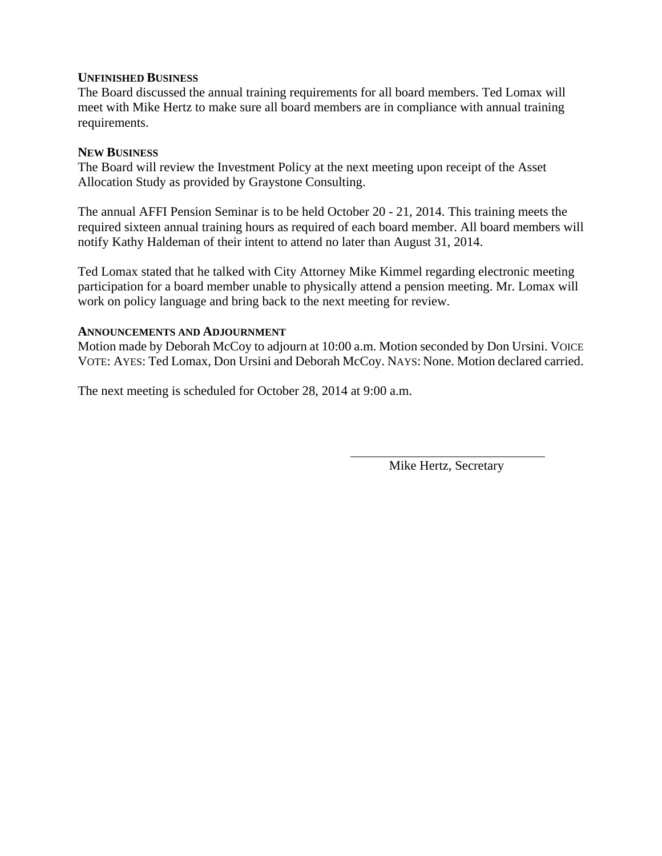#### **UNFINISHED BUSINESS**

The Board discussed the annual training requirements for all board members. Ted Lomax will meet with Mike Hertz to make sure all board members are in compliance with annual training requirements.

#### **NEW BUSINESS**

The Board will review the Investment Policy at the next meeting upon receipt of the Asset Allocation Study as provided by Graystone Consulting.

The annual AFFI Pension Seminar is to be held October 20 - 21, 2014. This training meets the required sixteen annual training hours as required of each board member. All board members will notify Kathy Haldeman of their intent to attend no later than August 31, 2014.

Ted Lomax stated that he talked with City Attorney Mike Kimmel regarding electronic meeting participation for a board member unable to physically attend a pension meeting. Mr. Lomax will work on policy language and bring back to the next meeting for review.

#### **ANNOUNCEMENTS AND ADJOURNMENT**

Motion made by Deborah McCoy to adjourn at 10:00 a.m. Motion seconded by Don Ursini. VOICE VOTE: AYES: Ted Lomax, Don Ursini and Deborah McCoy. NAYS: None. Motion declared carried.

The next meeting is scheduled for October 28, 2014 at 9:00 a.m.

Mike Hertz, Secretary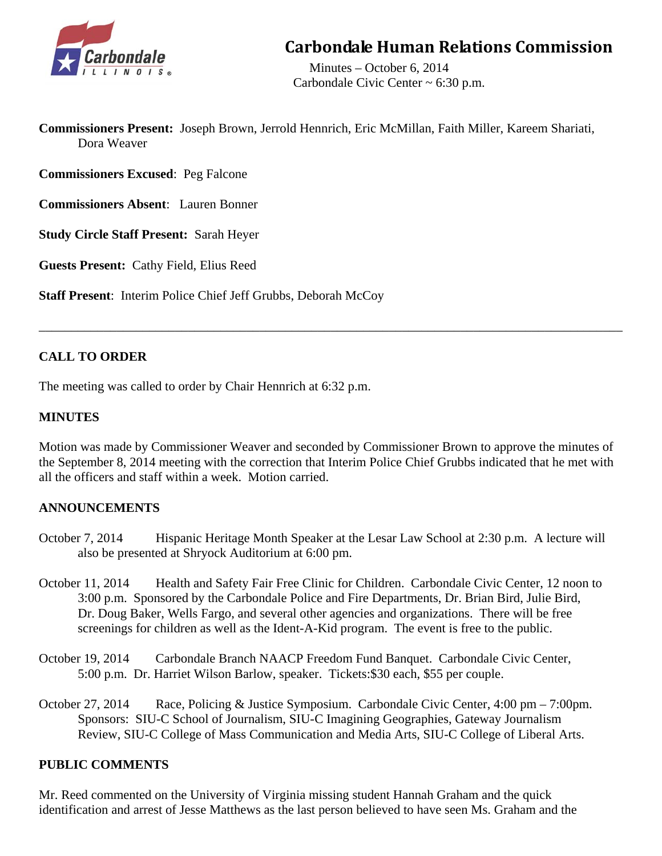

# **Carbondale Human Relations Commission**

 Minutes – October 6, 2014 Carbondale Civic Center ~ 6:30 p.m.

**Commissioners Present:** Joseph Brown, Jerrold Hennrich, Eric McMillan, Faith Miller, Kareem Shariati, Dora Weaver

**Commissioners Excused**: Peg Falcone

**Commissioners Absent**: Lauren Bonner

**Study Circle Staff Present:** Sarah Heyer

**Guests Present:** Cathy Field, Elius Reed

**Staff Present**: Interim Police Chief Jeff Grubbs, Deborah McCoy

# **CALL TO ORDER**

The meeting was called to order by Chair Hennrich at 6:32 p.m.

#### **MINUTES**

Motion was made by Commissioner Weaver and seconded by Commissioner Brown to approve the minutes of the September 8, 2014 meeting with the correction that Interim Police Chief Grubbs indicated that he met with all the officers and staff within a week. Motion carried.

\_\_\_\_\_\_\_\_\_\_\_\_\_\_\_\_\_\_\_\_\_\_\_\_\_\_\_\_\_\_\_\_\_\_\_\_\_\_\_\_\_\_\_\_\_\_\_\_\_\_\_\_\_\_\_\_\_\_\_\_\_\_\_\_\_\_\_\_\_\_\_\_\_\_\_\_\_\_\_\_\_\_\_\_\_\_\_\_\_\_

#### **ANNOUNCEMENTS**

- October 7, 2014 Hispanic Heritage Month Speaker at the Lesar Law School at 2:30 p.m. A lecture will also be presented at Shryock Auditorium at 6:00 pm.
- October 11, 2014 Health and Safety Fair Free Clinic for Children. Carbondale Civic Center, 12 noon to 3:00 p.m. Sponsored by the Carbondale Police and Fire Departments, Dr. Brian Bird, Julie Bird, Dr. Doug Baker, Wells Fargo, and several other agencies and organizations. There will be free screenings for children as well as the Ident-A-Kid program. The event is free to the public.
- October 19, 2014 Carbondale Branch NAACP Freedom Fund Banquet. Carbondale Civic Center, 5:00 p.m. Dr. Harriet Wilson Barlow, speaker. Tickets:\$30 each, \$55 per couple.
- October 27, 2014 Race, Policing & Justice Symposium. Carbondale Civic Center, 4:00 pm 7:00pm. Sponsors: SIU-C School of Journalism, SIU-C Imagining Geographies, Gateway Journalism Review, SIU-C College of Mass Communication and Media Arts, SIU-C College of Liberal Arts.

# **PUBLIC COMMENTS**

Mr. Reed commented on the University of Virginia missing student Hannah Graham and the quick identification and arrest of Jesse Matthews as the last person believed to have seen Ms. Graham and the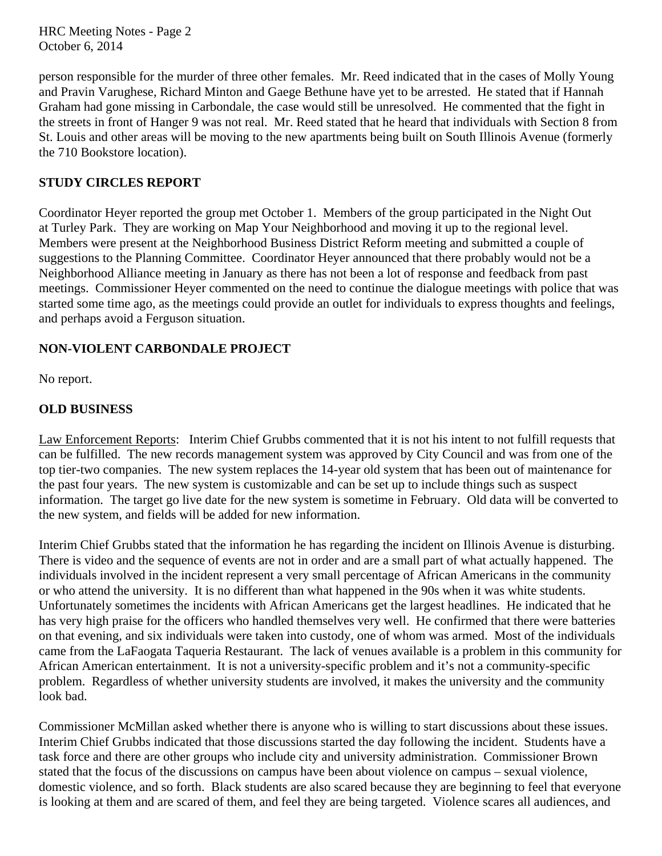HRC Meeting Notes - Page 2 October 6, 2014

person responsible for the murder of three other females. Mr. Reed indicated that in the cases of Molly Young and Pravin Varughese, Richard Minton and Gaege Bethune have yet to be arrested. He stated that if Hannah Graham had gone missing in Carbondale, the case would still be unresolved. He commented that the fight in the streets in front of Hanger 9 was not real. Mr. Reed stated that he heard that individuals with Section 8 from St. Louis and other areas will be moving to the new apartments being built on South Illinois Avenue (formerly the 710 Bookstore location).

# **STUDY CIRCLES REPORT**

Coordinator Heyer reported the group met October 1. Members of the group participated in the Night Out at Turley Park. They are working on Map Your Neighborhood and moving it up to the regional level. Members were present at the Neighborhood Business District Reform meeting and submitted a couple of suggestions to the Planning Committee. Coordinator Heyer announced that there probably would not be a Neighborhood Alliance meeting in January as there has not been a lot of response and feedback from past meetings. Commissioner Heyer commented on the need to continue the dialogue meetings with police that was started some time ago, as the meetings could provide an outlet for individuals to express thoughts and feelings, and perhaps avoid a Ferguson situation.

# **NON-VIOLENT CARBONDALE PROJECT**

No report.

# **OLD BUSINESS**

Law Enforcement Reports: Interim Chief Grubbs commented that it is not his intent to not fulfill requests that can be fulfilled. The new records management system was approved by City Council and was from one of the top tier-two companies. The new system replaces the 14-year old system that has been out of maintenance for the past four years. The new system is customizable and can be set up to include things such as suspect information. The target go live date for the new system is sometime in February. Old data will be converted to the new system, and fields will be added for new information.

Interim Chief Grubbs stated that the information he has regarding the incident on Illinois Avenue is disturbing. There is video and the sequence of events are not in order and are a small part of what actually happened. The individuals involved in the incident represent a very small percentage of African Americans in the community or who attend the university. It is no different than what happened in the 90s when it was white students. Unfortunately sometimes the incidents with African Americans get the largest headlines. He indicated that he has very high praise for the officers who handled themselves very well. He confirmed that there were batteries on that evening, and six individuals were taken into custody, one of whom was armed. Most of the individuals came from the LaFaogata Taqueria Restaurant. The lack of venues available is a problem in this community for African American entertainment. It is not a university-specific problem and it's not a community-specific problem. Regardless of whether university students are involved, it makes the university and the community look bad.

Commissioner McMillan asked whether there is anyone who is willing to start discussions about these issues. Interim Chief Grubbs indicated that those discussions started the day following the incident. Students have a task force and there are other groups who include city and university administration. Commissioner Brown stated that the focus of the discussions on campus have been about violence on campus – sexual violence, domestic violence, and so forth. Black students are also scared because they are beginning to feel that everyone is looking at them and are scared of them, and feel they are being targeted. Violence scares all audiences, and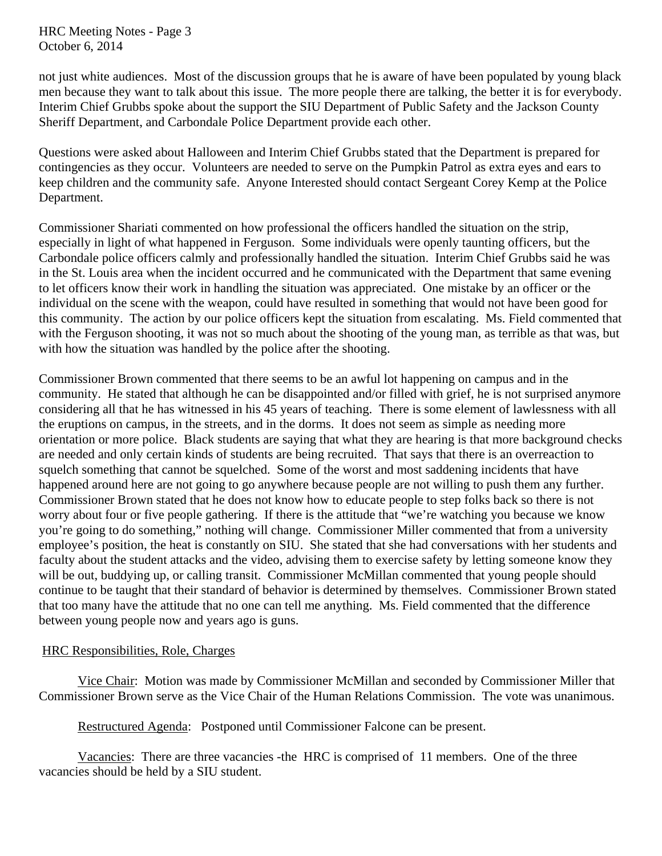HRC Meeting Notes - Page 3 October 6, 2014

not just white audiences. Most of the discussion groups that he is aware of have been populated by young black men because they want to talk about this issue. The more people there are talking, the better it is for everybody. Interim Chief Grubbs spoke about the support the SIU Department of Public Safety and the Jackson County Sheriff Department, and Carbondale Police Department provide each other.

Questions were asked about Halloween and Interim Chief Grubbs stated that the Department is prepared for contingencies as they occur. Volunteers are needed to serve on the Pumpkin Patrol as extra eyes and ears to keep children and the community safe. Anyone Interested should contact Sergeant Corey Kemp at the Police Department.

Commissioner Shariati commented on how professional the officers handled the situation on the strip, especially in light of what happened in Ferguson. Some individuals were openly taunting officers, but the Carbondale police officers calmly and professionally handled the situation. Interim Chief Grubbs said he was in the St. Louis area when the incident occurred and he communicated with the Department that same evening to let officers know their work in handling the situation was appreciated. One mistake by an officer or the individual on the scene with the weapon, could have resulted in something that would not have been good for this community. The action by our police officers kept the situation from escalating. Ms. Field commented that with the Ferguson shooting, it was not so much about the shooting of the young man, as terrible as that was, but with how the situation was handled by the police after the shooting.

Commissioner Brown commented that there seems to be an awful lot happening on campus and in the community. He stated that although he can be disappointed and/or filled with grief, he is not surprised anymore considering all that he has witnessed in his 45 years of teaching. There is some element of lawlessness with all the eruptions on campus, in the streets, and in the dorms. It does not seem as simple as needing more orientation or more police. Black students are saying that what they are hearing is that more background checks are needed and only certain kinds of students are being recruited. That says that there is an overreaction to squelch something that cannot be squelched. Some of the worst and most saddening incidents that have happened around here are not going to go anywhere because people are not willing to push them any further. Commissioner Brown stated that he does not know how to educate people to step folks back so there is not worry about four or five people gathering. If there is the attitude that "we're watching you because we know you're going to do something," nothing will change. Commissioner Miller commented that from a university employee's position, the heat is constantly on SIU. She stated that she had conversations with her students and faculty about the student attacks and the video, advising them to exercise safety by letting someone know they will be out, buddying up, or calling transit. Commissioner McMillan commented that young people should continue to be taught that their standard of behavior is determined by themselves. Commissioner Brown stated that too many have the attitude that no one can tell me anything. Ms. Field commented that the difference between young people now and years ago is guns.

#### HRC Responsibilities, Role, Charges

 Vice Chair: Motion was made by Commissioner McMillan and seconded by Commissioner Miller that Commissioner Brown serve as the Vice Chair of the Human Relations Commission. The vote was unanimous.

Restructured Agenda: Postponed until Commissioner Falcone can be present.

 Vacancies: There are three vacancies -the HRC is comprised of 11 members. One of the three vacancies should be held by a SIU student.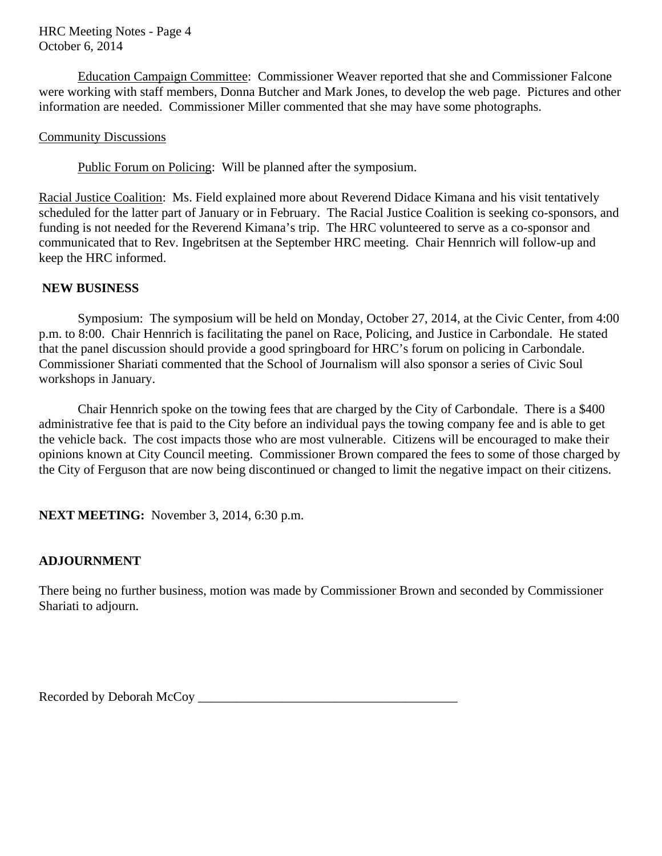HRC Meeting Notes - Page 4 October 6, 2014

Education Campaign Committee: Commissioner Weaver reported that she and Commissioner Falcone were working with staff members, Donna Butcher and Mark Jones, to develop the web page. Pictures and other information are needed. Commissioner Miller commented that she may have some photographs.

#### Community Discussions

Public Forum on Policing: Will be planned after the symposium.

Racial Justice Coalition: Ms. Field explained more about Reverend Didace Kimana and his visit tentatively scheduled for the latter part of January or in February. The Racial Justice Coalition is seeking co-sponsors, and funding is not needed for the Reverend Kimana's trip. The HRC volunteered to serve as a co-sponsor and communicated that to Rev. Ingebritsen at the September HRC meeting. Chair Hennrich will follow-up and keep the HRC informed.

#### **NEW BUSINESS**

 Symposium: The symposium will be held on Monday, October 27, 2014, at the Civic Center, from 4:00 p.m. to 8:00. Chair Hennrich is facilitating the panel on Race, Policing, and Justice in Carbondale. He stated that the panel discussion should provide a good springboard for HRC's forum on policing in Carbondale. Commissioner Shariati commented that the School of Journalism will also sponsor a series of Civic Soul workshops in January.

Chair Hennrich spoke on the towing fees that are charged by the City of Carbondale. There is a \$400 administrative fee that is paid to the City before an individual pays the towing company fee and is able to get the vehicle back. The cost impacts those who are most vulnerable. Citizens will be encouraged to make their opinions known at City Council meeting. Commissioner Brown compared the fees to some of those charged by the City of Ferguson that are now being discontinued or changed to limit the negative impact on their citizens.

**NEXT MEETING:** November 3, 2014, 6:30 p.m.

#### **ADJOURNMENT**

There being no further business, motion was made by Commissioner Brown and seconded by Commissioner Shariati to adjourn.

Recorded by Deborah McCoy \_\_\_\_\_\_\_\_\_\_\_\_\_\_\_\_\_\_\_\_\_\_\_\_\_\_\_\_\_\_\_\_\_\_\_\_\_\_\_\_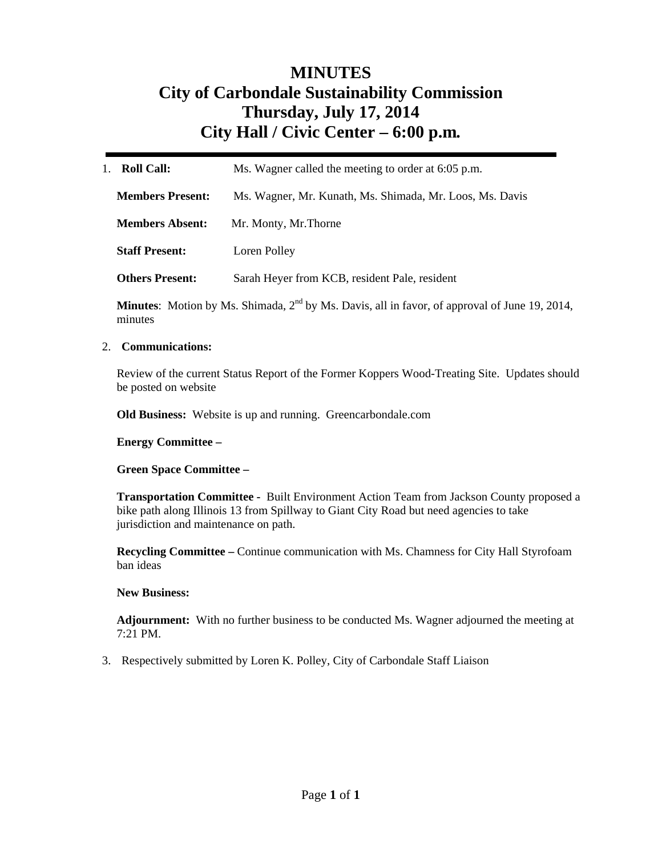# **MINUTES City of Carbondale Sustainability Commission Thursday, July 17, 2014 City Hall / Civic Center – 6:00 p.m***.*

| <b>Roll Call:</b><br>1. | Ms. Wagner called the meeting to order at 6:05 p.m.      |  |  |  |  |
|-------------------------|----------------------------------------------------------|--|--|--|--|
| <b>Members Present:</b> | Ms. Wagner, Mr. Kunath, Ms. Shimada, Mr. Loos, Ms. Davis |  |  |  |  |
| <b>Members Absent:</b>  | Mr. Monty, Mr. Thorne                                    |  |  |  |  |
| <b>Staff Present:</b>   | Loren Polley                                             |  |  |  |  |
| <b>Others Present:</b>  | Sarah Heyer from KCB, resident Pale, resident            |  |  |  |  |

Minutes: Motion by Ms. Shimada, 2<sup>nd</sup> by Ms. Davis, all in favor, of approval of June 19, 2014, minutes

#### 2. **Communications:**

Review of the current Status Report of the Former Koppers Wood-Treating Site. Updates should be posted on website

**Old Business:** Website is up and running. Greencarbondale.com

#### **Energy Committee –**

**Green Space Committee –** 

**Transportation Committee -** Built Environment Action Team from Jackson County proposed a bike path along Illinois 13 from Spillway to Giant City Road but need agencies to take jurisdiction and maintenance on path.

**Recycling Committee –** Continue communication with Ms. Chamness for City Hall Styrofoam ban ideas

#### **New Business:**

**Adjournment:** With no further business to be conducted Ms. Wagner adjourned the meeting at 7:21 PM.

3. Respectively submitted by Loren K. Polley, City of Carbondale Staff Liaison